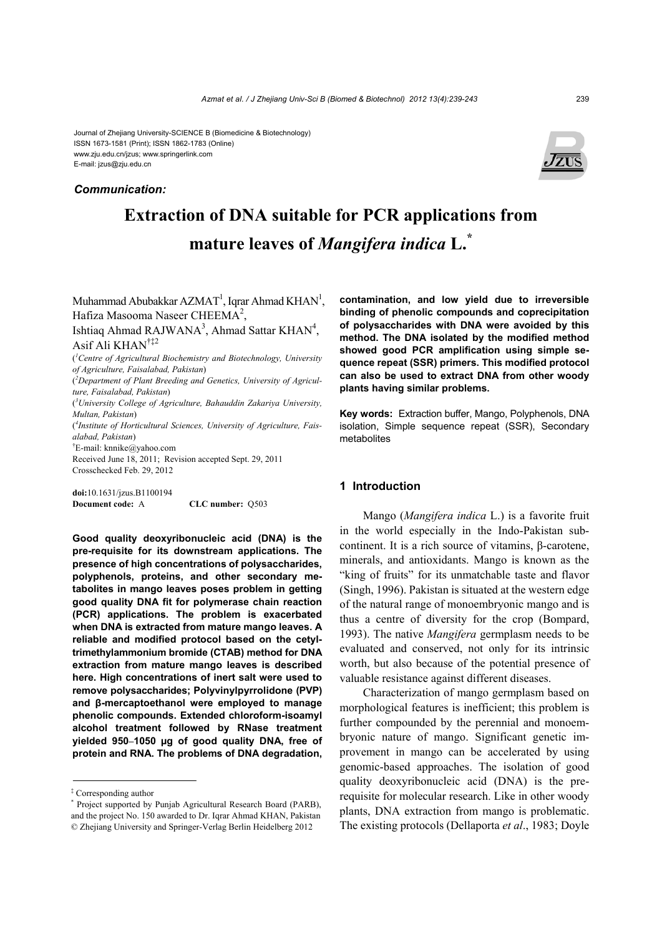#### Journal of Zhejiang University-SCIENCE B (Biomedicine & Biotechnology) ISSN 1673-1581 (Print); ISSN 1862-1783 (Online) www.zju.edu.cn/jzus; www.springerlink.com E-mail: jzus@zju.edu.cn

#### *Communication:*



# **Extraction of DNA suitable for PCR applications from mature leaves of** *Mangifera indica* **L.\***

Muhammad Abubakkar AZMAT<sup>1</sup>, Iqrar Ahmad KHAN<sup>1</sup>, Hafiza Masooma Naseer CHEEMA<sup>2</sup>,

Ishtiaq Ahmad RAJWANA<sup>3</sup>, Ahmad Sattar KHAN<sup>4</sup>, Asif Ali KHAN†‡2

( *1 Centre of Agricultural Biochemistry and Biotechnology, University of Agriculture, Faisalabad, Pakistan*)

( *2 Department of Plant Breeding and Genetics, University of Agriculture, Faisalabad, Pakistan*)

( *3 University College of Agriculture, Bahauddin Zakariya University, Multan, Pakistan*)

( *4 Institute of Horticultural Sciences, University of Agriculture, Faisalabad, Pakistan*) † E-mail: knnike@yahoo.com

Received June 18, 2011; Revision accepted Sept. 29, 2011 Crosschecked Feb. 29, 2012

**doi:**10.1631/jzus.B1100194 **Document code:** A **CLC number:** Q503

**Good quality deoxyribonucleic acid (DNA) is the pre-requisite for its downstream applications. The presence of high concentrations of polysaccharides, polyphenols, proteins, and other secondary metabolites in mango leaves poses problem in getting good quality DNA fit for polymerase chain reaction (PCR) applications. The problem is exacerbated when DNA is extracted from mature mango leaves. A reliable and modified protocol based on the cetyltrimethylammonium bromide (CTAB) method for DNA extraction from mature mango leaves is described here. High concentrations of inert salt were used to remove polysaccharides; Polyvinylpyrrolidone (PVP) and β-mercaptoethanol were employed to manage phenolic compounds. Extended chloroform-isoamyl alcohol treatment followed by RNase treatment yielded 950‒1050 µg of good quality DNA, free of protein and RNA. The problems of DNA degradation,** 

**contamination, and low yield due to irreversible binding of phenolic compounds and coprecipitation of polysaccharides with DNA were avoided by this method. The DNA isolated by the modified method showed good PCR amplification using simple sequence repeat (SSR) primers. This modified protocol can also be used to extract DNA from other woody plants having similar problems.** 

**Key words:** Extraction buffer, Mango, Polyphenols, DNA isolation, Simple sequence repeat (SSR), Secondary metabolites

# **1 Introduction**

Mango (*Mangifera indica* L.) is a favorite fruit in the world especially in the Indo-Pakistan subcontinent. It is a rich source of vitamins, β-carotene, minerals, and antioxidants. Mango is known as the "king of fruits" for its unmatchable taste and flavor (Singh, 1996). Pakistan is situated at the western edge of the natural range of monoembryonic mango and is thus a centre of diversity for the crop (Bompard, 1993). The native *Mangifera* germplasm needs to be evaluated and conserved, not only for its intrinsic worth, but also because of the potential presence of valuable resistance against different diseases.

Characterization of mango germplasm based on morphological features is inefficient; this problem is further compounded by the perennial and monoembryonic nature of mango. Significant genetic improvement in mango can be accelerated by using genomic-based approaches. The isolation of good quality deoxyribonucleic acid (DNA) is the prerequisite for molecular research. Like in other woody plants, DNA extraction from mango is problematic. The existing protocols (Dellaporta *et al*., 1983; Doyle

<sup>‡</sup> Corresponding author

<sup>\*</sup> Project supported by Punjab Agricultural Research Board (PARB), and the project No. 150 awarded to Dr. Iqrar Ahmad KHAN, Pakistan © Zhejiang University and Springer-Verlag Berlin Heidelberg 2012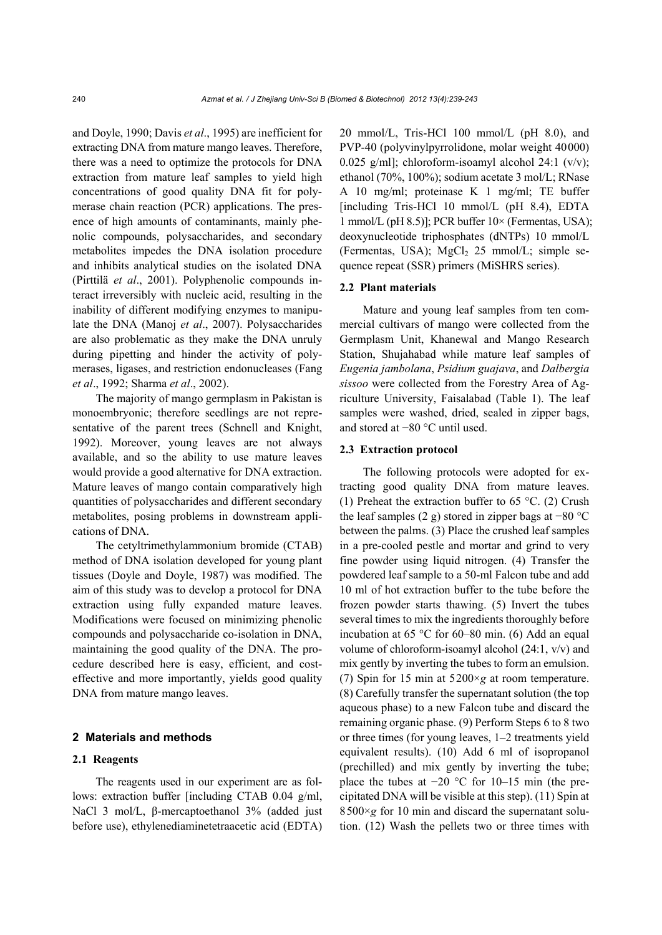and Doyle, 1990; Davis *et al*., 1995) are inefficient for extracting DNA from mature mango leaves. Therefore, there was a need to optimize the protocols for DNA extraction from mature leaf samples to yield high concentrations of good quality DNA fit for polymerase chain reaction (PCR) applications. The presence of high amounts of contaminants, mainly phenolic compounds, polysaccharides, and secondary metabolites impedes the DNA isolation procedure and inhibits analytical studies on the isolated DNA (Pirttilä *et al*., 2001). Polyphenolic compounds interact irreversibly with nucleic acid, resulting in the inability of different modifying enzymes to manipulate the DNA (Manoj *et al*., 2007). Polysaccharides are also problematic as they make the DNA unruly during pipetting and hinder the activity of polymerases, ligases, and restriction endonucleases (Fang *et al*., 1992; Sharma *et al*., 2002).

The majority of mango germplasm in Pakistan is monoembryonic; therefore seedlings are not representative of the parent trees (Schnell and Knight, 1992). Moreover, young leaves are not always available, and so the ability to use mature leaves would provide a good alternative for DNA extraction. Mature leaves of mango contain comparatively high quantities of polysaccharides and different secondary metabolites, posing problems in downstream applications of DNA.

The cetyltrimethylammonium bromide (CTAB) method of DNA isolation developed for young plant tissues (Doyle and Doyle, 1987) was modified. The aim of this study was to develop a protocol for DNA extraction using fully expanded mature leaves. Modifications were focused on minimizing phenolic compounds and polysaccharide co-isolation in DNA, maintaining the good quality of the DNA. The procedure described here is easy, efficient, and costeffective and more importantly, yields good quality DNA from mature mango leaves.

# **2 Materials and methods**

#### **2.1 Reagents**

The reagents used in our experiment are as follows: extraction buffer [including CTAB 0.04 g/ml, NaCl 3 mol/L, β-mercaptoethanol 3% (added just before use), ethylenediaminetetraacetic acid (EDTA) 20 mmol/L, Tris-HCl 100 mmol/L (pH 8.0), and PVP-40 (polyvinylpyrrolidone, molar weight 40000) 0.025 g/ml]; chloroform-isoamyl alcohol 24:1  $(v/v)$ ; ethanol (70%, 100%); sodium acetate 3 mol/L; RNase A 10 mg/ml; proteinase K 1 mg/ml; TE buffer [including Tris-HCl 10 mmol/L (pH 8.4), EDTA 1 mmol/L (pH 8.5)]; PCR buffer 10× (Fermentas, USA); deoxynucleotide triphosphates (dNTPs) 10 mmol/L (Fermentas, USA); MgCl<sub>2</sub> 25 mmol/L; simple sequence repeat (SSR) primers (MiSHRS series).

## **2.2 Plant materials**

Mature and young leaf samples from ten commercial cultivars of mango were collected from the Germplasm Unit, Khanewal and Mango Research Station, Shujahabad while mature leaf samples of *Eugenia jambolana*, *Psidium guajava*, and *Dalbergia sissoo* were collected from the Forestry Area of Agriculture University, Faisalabad (Table 1). The leaf samples were washed, dried, sealed in zipper bags, and stored at −80 °C until used.

#### **2.3 Extraction protocol**

The following protocols were adopted for extracting good quality DNA from mature leaves. (1) Preheat the extraction buffer to 65  $^{\circ}$ C. (2) Crush the leaf samples (2 g) stored in zipper bags at −80 °C between the palms. (3) Place the crushed leaf samples in a pre-cooled pestle and mortar and grind to very fine powder using liquid nitrogen. (4) Transfer the powdered leaf sample to a 50-ml Falcon tube and add 10 ml of hot extraction buffer to the tube before the frozen powder starts thawing. (5) Invert the tubes several times to mix the ingredients thoroughly before incubation at 65 °C for 60‒80 min. (6) Add an equal volume of chloroform-isoamyl alcohol (24:1, v/v) and mix gently by inverting the tubes to form an emulsion. (7) Spin for 15 min at 5200×*g* at room temperature. (8) Carefully transfer the supernatant solution (the top aqueous phase) to a new Falcon tube and discard the remaining organic phase. (9) Perform Steps 6 to 8 two or three times (for young leaves, 1‒2 treatments yield equivalent results). (10) Add 6 ml of isopropanol (prechilled) and mix gently by inverting the tube; place the tubes at  $-20$  °C for 10–15 min (the precipitated DNA will be visible at this step). (11) Spin at 8500×*g* for 10 min and discard the supernatant solution. (12) Wash the pellets two or three times with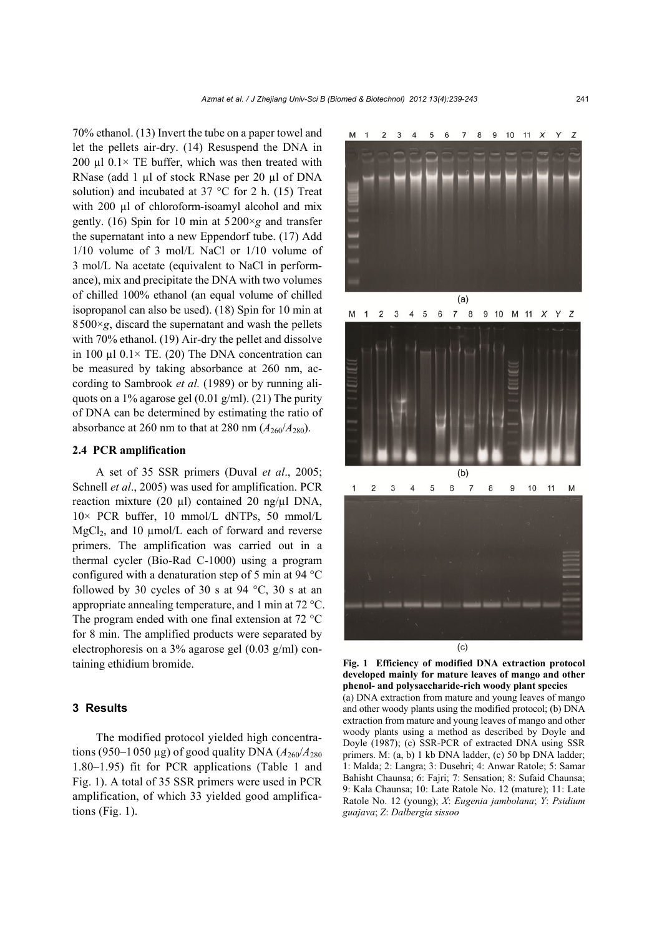70% ethanol. (13) Invert the tube on a paper towel and let the pellets air-dry. (14) Resuspend the DNA in 200  $\mu$ 1 0.1× TE buffer, which was then treated with RNase (add 1 µl of stock RNase per 20 µl of DNA solution) and incubated at 37  $\degree$ C for 2 h. (15) Treat with 200 µl of chloroform-isoamyl alcohol and mix gently. (16) Spin for 10 min at 5200×*g* and transfer the supernatant into a new Eppendorf tube. (17) Add 1/10 volume of 3 mol/L NaCl or 1/10 volume of 3 mol/L Na acetate (equivalent to NaCl in performance), mix and precipitate the DNA with two volumes of chilled 100% ethanol (an equal volume of chilled isopropanol can also be used). (18) Spin for 10 min at  $8500 \times g$ , discard the supernatant and wash the pellets with 70% ethanol. (19) Air-dry the pellet and dissolve in 100  $\mu$ 1 0.1× TE. (20) The DNA concentration can be measured by taking absorbance at 260 nm, according to Sambrook *et al.* (1989) or by running aliquots on a 1% agarose gel  $(0.01 \text{ g/ml})$ . (21) The purity of DNA can be determined by estimating the ratio of absorbance at 260 nm to that at 280 nm  $(A_{260}/A_{280})$ .

# **2.4 PCR amplification**

A set of 35 SSR primers (Duval *et al*., 2005; Schnell *et al*., 2005) was used for amplification. PCR reaction mixture (20  $\mu$ l) contained 20 ng/ $\mu$ l DNA, 10× PCR buffer, 10 mmol/L dNTPs, 50 mmol/L  $MgCl<sub>2</sub>$ , and 10 µmol/L each of forward and reverse primers. The amplification was carried out in a thermal cycler (Bio-Rad C-1000) using a program configured with a denaturation step of 5 min at 94 °C followed by 30 cycles of 30 s at  $94 \text{ °C}$ , 30 s at an appropriate annealing temperature, and 1 min at 72 °C. The program ended with one final extension at 72 °C for 8 min. The amplified products were separated by electrophoresis on a 3% agarose gel (0.03 g/ml) containing ethidium bromide.

#### **3 Results**

The modified protocol yielded high concentrations (950–1050 µg) of good quality DNA  $(A_{260}/A_{280})$ 1.80–1.95) fit for PCR applications (Table 1 and Fig. 1). A total of 35 SSR primers were used in PCR amplification, of which 33 yielded good amplifications (Fig. 1).



**Fig. 1 Efficiency of modified DNA extraction protocol developed mainly for mature leaves of mango and other phenol- and polysaccharide-rich woody plant species**  (a) DNA extraction from mature and young leaves of mango and other woody plants using the modified protocol; (b) DNA extraction from mature and young leaves of mango and other woody plants using a method as described by Doyle and Doyle (1987); (c) SSR-PCR of extracted DNA using SSR primers. M: (a, b) 1 kb DNA ladder, (c) 50 bp DNA ladder; 1: Malda; 2: Langra; 3: Dusehri; 4: Anwar Ratole; 5: Samar Bahisht Chaunsa; 6: Fajri; 7: Sensation; 8: Sufaid Chaunsa; 9: Kala Chaunsa; 10: Late Ratole No. 12 (mature); 11: Late Ratole No. 12 (young); *X*: *Eugenia jambolana*; *Y*: *Psidium guajava*; *Z*: *Dalbergia sissoo*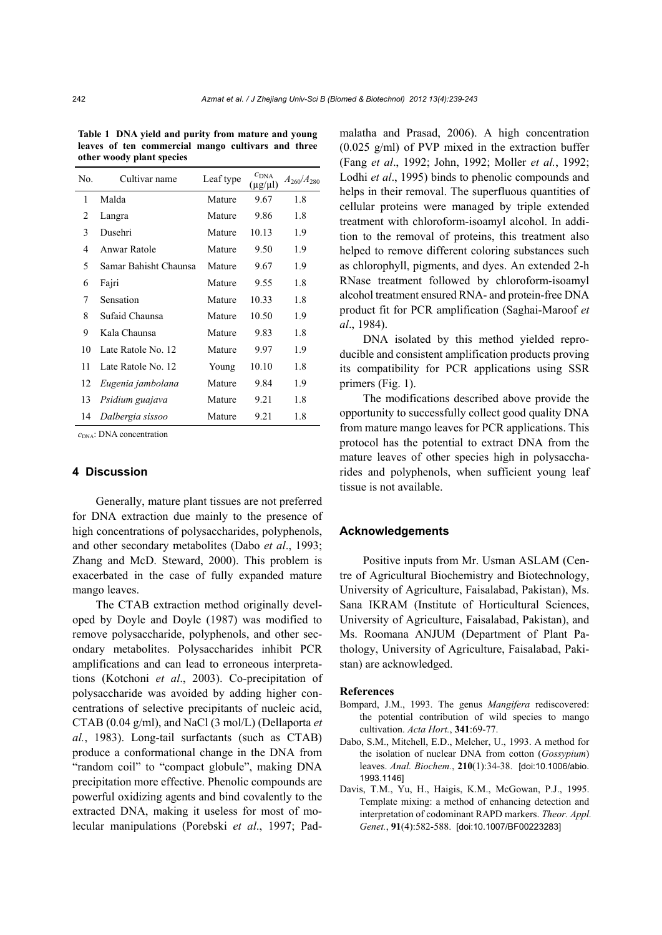| No. | Cultivar name         | Leaf type | $c_{\text{DNA}}$<br>$\mu$ g/ $\mu$ l) | $A_{260}/A_{280}$ |
|-----|-----------------------|-----------|---------------------------------------|-------------------|
| 1   | Malda                 | Mature    | 9.67                                  | 1.8               |
| 2   | Langra                | Mature    | 9.86                                  | 1.8               |
| 3   | Dusehri               | Mature    | 10.13                                 | 1.9               |
| 4   | Anwar Ratole          | Mature    | 9.50                                  | 1.9               |
| 5   | Samar Bahisht Chaunsa | Mature    | 9.67                                  | 1.9               |
| 6   | Fajri                 | Mature    | 9.55                                  | 1.8               |
| 7   | Sensation             | Mature    | 10.33                                 | 1.8               |
| 8   | Sufaid Chaunsa        | Mature    | 10.50                                 | 1.9               |
| 9   | Kala Chaunsa          | Mature    | 9.83                                  | 1.8               |
| 10  | Late Ratole No. 12    | Mature    | 9.97                                  | 1.9               |
| 11  | Late Ratole No. 12    | Young     | 10.10                                 | 1.8               |
| 12  | Eugenia jambolana     | Mature    | 9.84                                  | 1.9               |
| 13  | Psidium guajava       | Mature    | 9.21                                  | 1.8               |
| 14  | Dalbergia sissoo      | Mature    | 9.21                                  | 1.8               |

**Table 1 DNA yield and purity from mature and young leaves of ten commercial mango cultivars and three other woody plant species** 

*c*<sub>DNA</sub>: DNA concentration

#### **4 Discussion**

Generally, mature plant tissues are not preferred for DNA extraction due mainly to the presence of high concentrations of polysaccharides, polyphenols, and other secondary metabolites (Dabo *et al*., 1993; Zhang and McD. Steward, 2000). This problem is exacerbated in the case of fully expanded mature mango leaves.

The CTAB extraction method originally developed by Doyle and Doyle (1987) was modified to remove polysaccharide, polyphenols, and other secondary metabolites. Polysaccharides inhibit PCR amplifications and can lead to erroneous interpretations (Kotchoni *et al*., 2003). Co-precipitation of polysaccharide was avoided by adding higher concentrations of selective precipitants of nucleic acid, CTAB (0.04 g/ml), and NaCl (3 mol/L) (Dellaporta *et al.*, 1983). Long-tail surfactants (such as CTAB) produce a conformational change in the DNA from "random coil" to "compact globule", making DNA precipitation more effective. Phenolic compounds are powerful oxidizing agents and bind covalently to the extracted DNA, making it useless for most of molecular manipulations (Porebski *et al*., 1997; Padmalatha and Prasad, 2006). A high concentration (0.025 g/ml) of PVP mixed in the extraction buffer (Fang *et al*., 1992; John, 1992; Moller *et al.*, 1992; Lodhi *et al*., 1995) binds to phenolic compounds and helps in their removal. The superfluous quantities of cellular proteins were managed by triple extended treatment with chloroform-isoamyl alcohol. In addition to the removal of proteins, this treatment also helped to remove different coloring substances such as chlorophyll, pigments, and dyes. An extended 2-h RNase treatment followed by chloroform-isoamyl alcohol treatment ensured RNA- and protein-free DNA product fit for PCR amplification (Saghai-Maroof *et al*., 1984).

DNA isolated by this method yielded reproducible and consistent amplification products proving its compatibility for PCR applications using SSR primers (Fig. 1).

The modifications described above provide the opportunity to successfully collect good quality DNA from mature mango leaves for PCR applications. This protocol has the potential to extract DNA from the mature leaves of other species high in polysaccharides and polyphenols, when sufficient young leaf tissue is not available.

## **Acknowledgements**

Positive inputs from Mr. Usman ASLAM (Centre of Agricultural Biochemistry and Biotechnology, University of Agriculture, Faisalabad, Pakistan), Ms. Sana IKRAM (Institute of Horticultural Sciences, University of Agriculture, Faisalabad, Pakistan), and Ms. Roomana ANJUM (Department of Plant Pathology, University of Agriculture, Faisalabad, Pakistan) are acknowledged.

#### **References**

- Bompard, J.M., 1993. The genus *Mangifera* rediscovered: the potential contribution of wild species to mango cultivation. *Acta Hort.*, **341**:69-77.
- Dabo, S.M., Mitchell, E.D., Melcher, U., 1993. A method for the isolation of nuclear DNA from cotton (*Gossypium*) leaves. *Anal. Biochem.*, **210**(1):34-38. [doi:10.1006/abio. 1993.1146]
- Davis, T.M., Yu, H., Haigis, K.M., McGowan, P.J., 1995. Template mixing: a method of enhancing detection and interpretation of codominant RAPD markers. *Theor. Appl. Genet.*, **91**(4):582-588. [doi:10.1007/BF00223283]